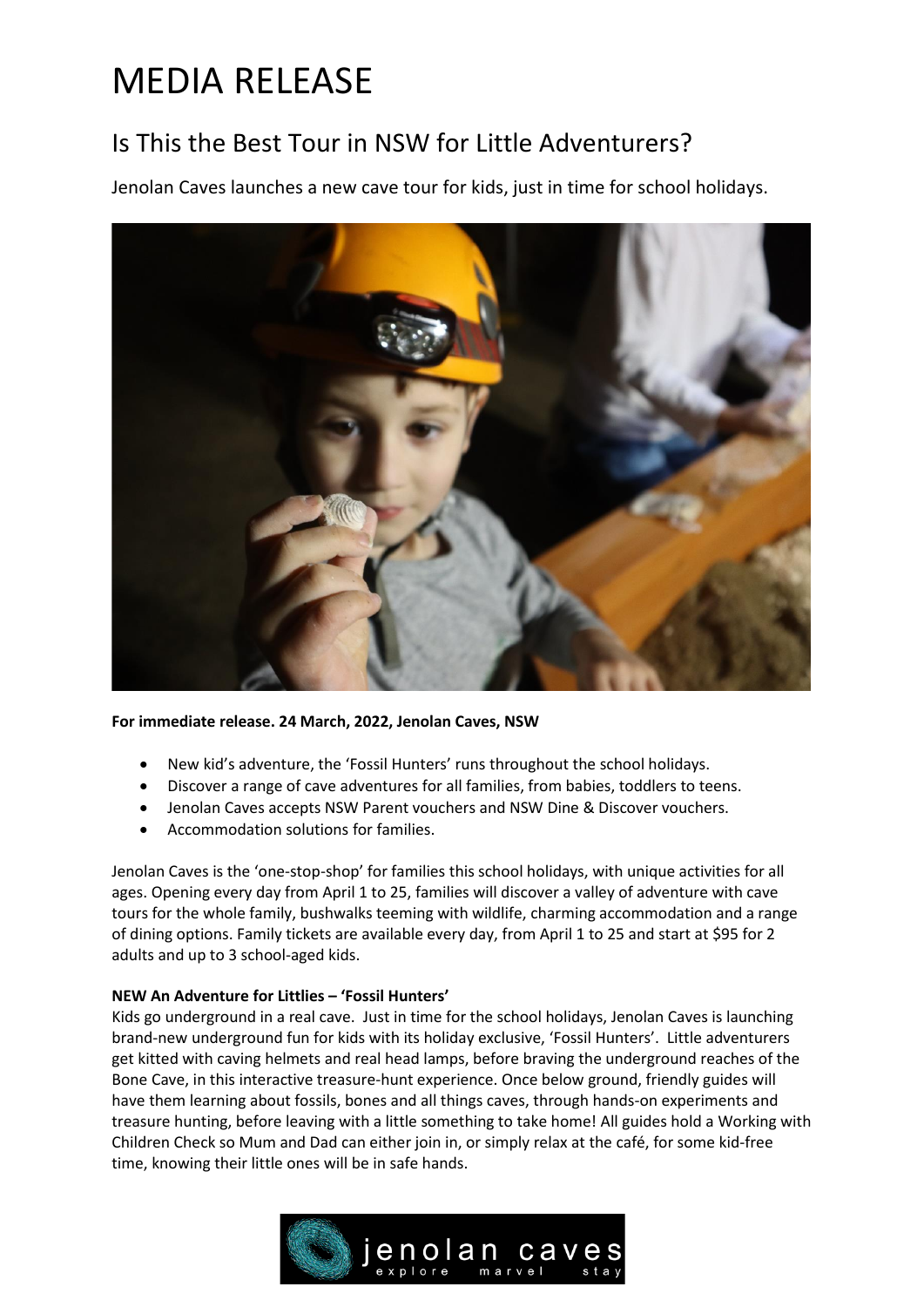# MEDIA RELEASE

## Is This the Best Tour in NSW for Little Adventurers?

Jenolan Caves launches a new cave tour for kids, just in time for school holidays.



**For immediate release. 24 March, 2022, Jenolan Caves, NSW**

- New kid's adventure, the 'Fossil Hunters' runs throughout the school holidays.
- Discover a range of cave adventures for all families, from babies, toddlers to teens.
- Jenolan Caves accepts NSW Parent vouchers and NSW Dine & Discover vouchers.
- Accommodation solutions for families.

Jenolan Caves is the 'one-stop-shop' for families this school holidays, with unique activities for all ages. Opening every day from April 1 to 25, families will discover a valley of adventure with cave tours for the whole family, bushwalks teeming with wildlife, charming accommodation and a range of dining options. Family tickets are available every day, from April 1 to 25 and start at \$95 for 2 adults and up to 3 school-aged kids.

### **NEW An Adventure for Littlies – 'Fossil Hunters'**

Kids go underground in a real cave. Just in time for the school holidays, Jenolan Caves is launching brand-new underground fun for kids with its holiday exclusive, 'Fossil Hunters'. Little adventurers get kitted with caving helmets and real head lamps, before braving the underground reaches of the Bone Cave, in this interactive treasure-hunt experience. Once below ground, friendly guides will have them learning about fossils, bones and all things caves, through hands-on experiments and treasure hunting, before leaving with a little something to take home! All guides hold a Working with Children Check so Mum and Dad can either join in, or simply relax at the café, for some kid-free time, knowing their little ones will be in safe hands.

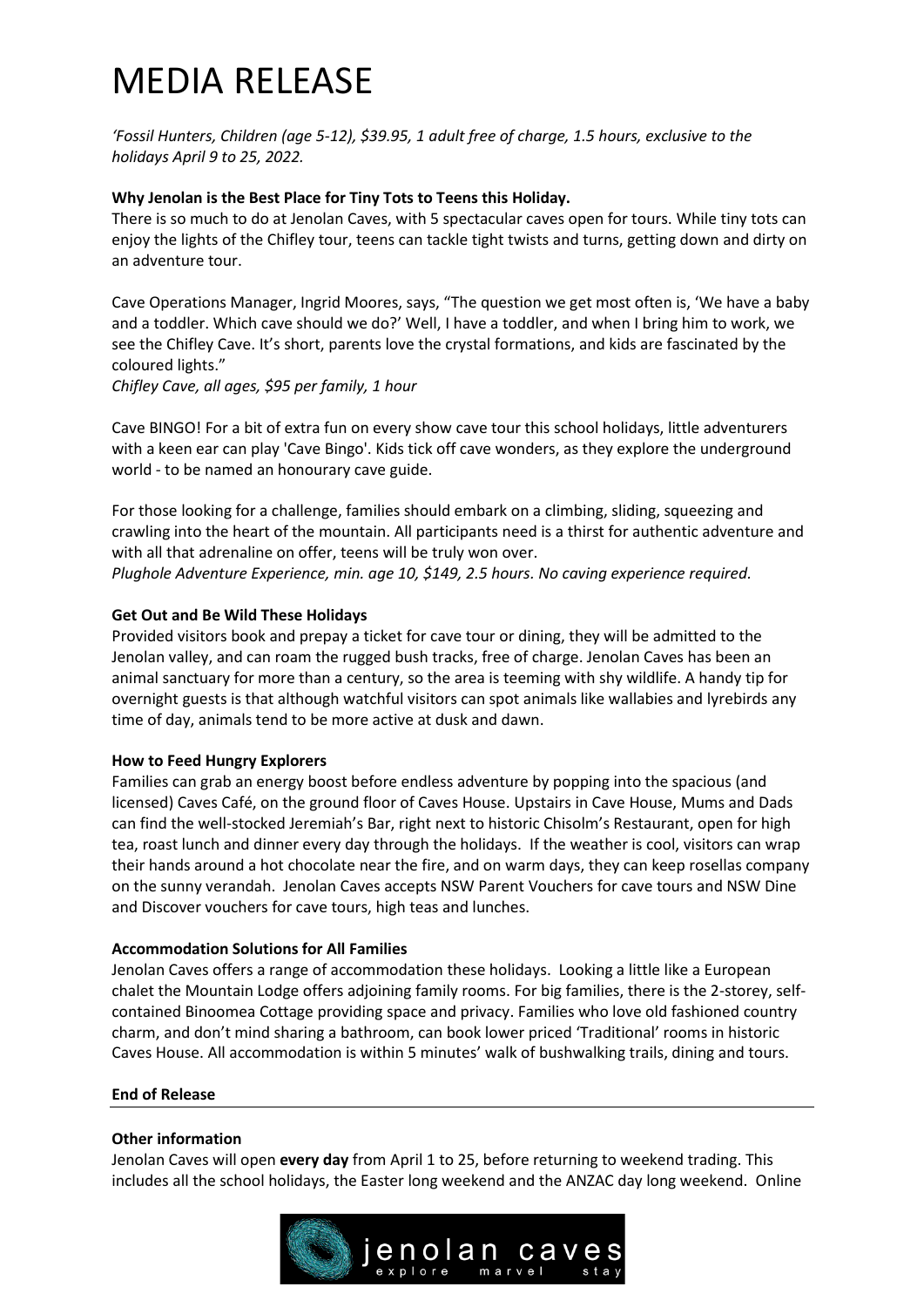# MEDIA RELEASE

*'Fossil Hunters, Children (age 5-12), \$39.95, 1 adult free of charge, 1.5 hours, exclusive to the holidays April 9 to 25, 2022.*

#### **Why Jenolan is the Best Place for Tiny Tots to Teens this Holiday.**

There is so much to do at Jenolan Caves, with 5 spectacular caves open for tours. While tiny tots can enjoy the lights of the Chifley tour, teens can tackle tight twists and turns, getting down and dirty on an adventure tour.

Cave Operations Manager, Ingrid Moores, says, "The question we get most often is, 'We have a baby and a toddler. Which cave should we do?' Well, I have a toddler, and when I bring him to work, we see the Chifley Cave. It's short, parents love the crystal formations, and kids are fascinated by the coloured lights."

*Chifley Cave, all ages, \$95 per family, 1 hour*

Cave BINGO! For a bit of extra fun on every show cave tour this school holidays, little adventurers with a keen ear can play 'Cave Bingo'. Kids tick off cave wonders, as they explore the underground world - to be named an honourary cave guide.

For those looking for a challenge, families should embark on a climbing, sliding, squeezing and crawling into the heart of the mountain. All participants need is a thirst for authentic adventure and with all that adrenaline on offer, teens will be truly won over.

### *Plughole Adventure Experience, min. age 10, \$149, 2.5 hours. No caving experience required.*

#### **Get Out and Be Wild These Holidays**

Provided visitors book and prepay a ticket for cave tour or dining, they will be admitted to the Jenolan valley, and can roam the rugged bush tracks, free of charge. Jenolan Caves has been an animal sanctuary for more than a century, so the area is teeming with shy wildlife. A handy tip for overnight guests is that although watchful visitors can spot animals like wallabies and lyrebirds any time of day, animals tend to be more active at dusk and dawn.

#### **How to Feed Hungry Explorers**

Families can grab an energy boost before endless adventure by popping into the spacious (and licensed) Caves Café, on the ground floor of Caves House. Upstairs in Cave House, Mums and Dads can find the well-stocked Jeremiah's Bar, right next to historic Chisolm's Restaurant, open for high tea, roast lunch and dinner every day through the holidays. If the weather is cool, visitors can wrap their hands around a hot chocolate near the fire, and on warm days, they can keep rosellas company on the sunny verandah. Jenolan Caves accepts NSW Parent Vouchers for cave tours and NSW Dine and Discover vouchers for cave tours, high teas and lunches.

#### **Accommodation Solutions for All Families**

Jenolan Caves offers a range of accommodation these holidays. Looking a little like a European chalet the Mountain Lodge offers adjoining family rooms. For big families, there is the 2-storey, selfcontained Binoomea Cottage providing space and privacy. Families who love old fashioned country charm, and don't mind sharing a bathroom, can book lower priced 'Traditional' rooms in historic Caves House. All accommodation is within 5 minutes' walk of bushwalking trails, dining and tours.

#### **End of Release**

#### **Other information**

Jenolan Caves will open **every day** from April 1 to 25, before returning to weekend trading. This includes all the school holidays, the Easter long weekend and the ANZAC day long weekend. Online